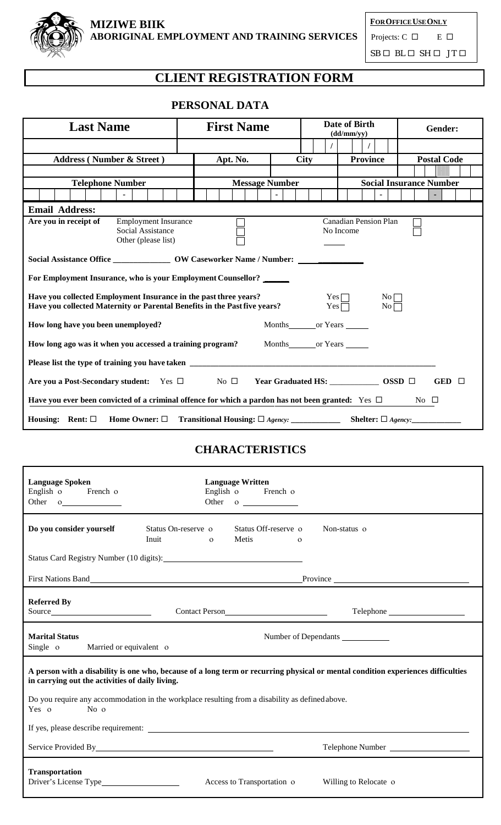

**FOROFFICEUSEONLY** Projects:  $C \Box$  E  $\Box$ 

 $\texttt{SB} \ \Box \ \texttt{BL} \ \Box \ \texttt{SH} \ \Box \ \ \texttt{JT} \ \Box$ 

# **CLIENT REGISTRATION FORM**

# **PERSONAL DATA**

| <b>Last Name</b>                                                                                                                              | <b>First Name</b>     |                                          | Date of Birth<br>(dd/mm/vv)                 | Gender:                        |  |
|-----------------------------------------------------------------------------------------------------------------------------------------------|-----------------------|------------------------------------------|---------------------------------------------|--------------------------------|--|
|                                                                                                                                               |                       |                                          |                                             |                                |  |
| <b>Address (Number &amp; Street)</b>                                                                                                          | Apt. No.              | <b>City</b>                              | <b>Province</b>                             | <b>Postal Code</b>             |  |
|                                                                                                                                               |                       |                                          |                                             |                                |  |
| <b>Telephone Number</b>                                                                                                                       | <b>Message Number</b> |                                          |                                             | <b>Social Insurance Number</b> |  |
|                                                                                                                                               |                       |                                          |                                             |                                |  |
| <b>Email Address:</b>                                                                                                                         |                       |                                          |                                             |                                |  |
| Are you in receipt of<br><b>Employment Insurance</b><br>Social Assistance<br>Other (please list)                                              |                       |                                          | <b>Canadian Pension Plan</b><br>No Income   |                                |  |
| Social Assistance Office _________________ OW Caseworker Name / Number: ___                                                                   |                       |                                          |                                             |                                |  |
| For Employment Insurance, who is your Employment Counsellor?                                                                                  |                       |                                          |                                             |                                |  |
| Have you collected Employment Insurance in the past three years?<br>Have you collected Maternity or Parental Benefits in the Past five years? |                       |                                          | $Yes \Box$<br>No<br>$Yes \Box$<br>$No \Box$ |                                |  |
| How long have you been unemployed?                                                                                                            |                       | Months_________or Years                  |                                             |                                |  |
| How long ago was it when you accessed a training program?<br>Months or Years                                                                  |                       |                                          |                                             |                                |  |
|                                                                                                                                               |                       |                                          |                                             |                                |  |
| Are you a Post-Secondary student: Yes $\square$ No $\square$                                                                                  |                       | Year Graduated HS: ______________ OSSD □ |                                             | GED $\Box$                     |  |
| Have you ever been convicted of a criminal offence for which a pardon has not been granted: Yes $\Box$<br>No $\square$                        |                       |                                          |                                             |                                |  |
| Home Owner: $\square$<br>Housing: Rent: $\square$                                                                                             |                       |                                          |                                             |                                |  |

### **CHARACTERISTICS**

| <b>Language Spoken</b><br>English o French o<br>Other o                                                                                                                             | <b>Language Written</b> | English o French o<br>Other o           |          |                        |  |
|-------------------------------------------------------------------------------------------------------------------------------------------------------------------------------------|-------------------------|-----------------------------------------|----------|------------------------|--|
| Do you consider yourself<br>Status On-reserve o<br>Inuit                                                                                                                            | $\Omega$                | Status Off-reserve o<br>Metis           | $\Omega$ | Non-status o           |  |
| Status Card Registry Number (10 digits): Manual Carolina Card Registry Number (10 digits):                                                                                          |                         |                                         |          |                        |  |
|                                                                                                                                                                                     |                         |                                         |          |                        |  |
| <b>Referred By</b><br>Source                                                                                                                                                        |                         | Contact Person<br><u>Contact Person</u> |          | Telephone              |  |
| <b>Marital Status</b><br>Number of Dependants<br>Single o<br>Married or equivalent of                                                                                               |                         |                                         |          |                        |  |
| A person with a disability is one who, because of a long term or recurring physical or mental condition experiences difficulties<br>in carrying out the activities of daily living. |                         |                                         |          |                        |  |
| Do you require any accommodation in the workplace resulting from a disability as defined above.<br>No $\sigma$<br>Yes o                                                             |                         |                                         |          |                        |  |
|                                                                                                                                                                                     |                         |                                         |          |                        |  |
|                                                                                                                                                                                     |                         |                                         |          | Telephone Number       |  |
| <b>Transportation</b>                                                                                                                                                               |                         | Access to Transportation o              |          | Willing to Relocate of |  |